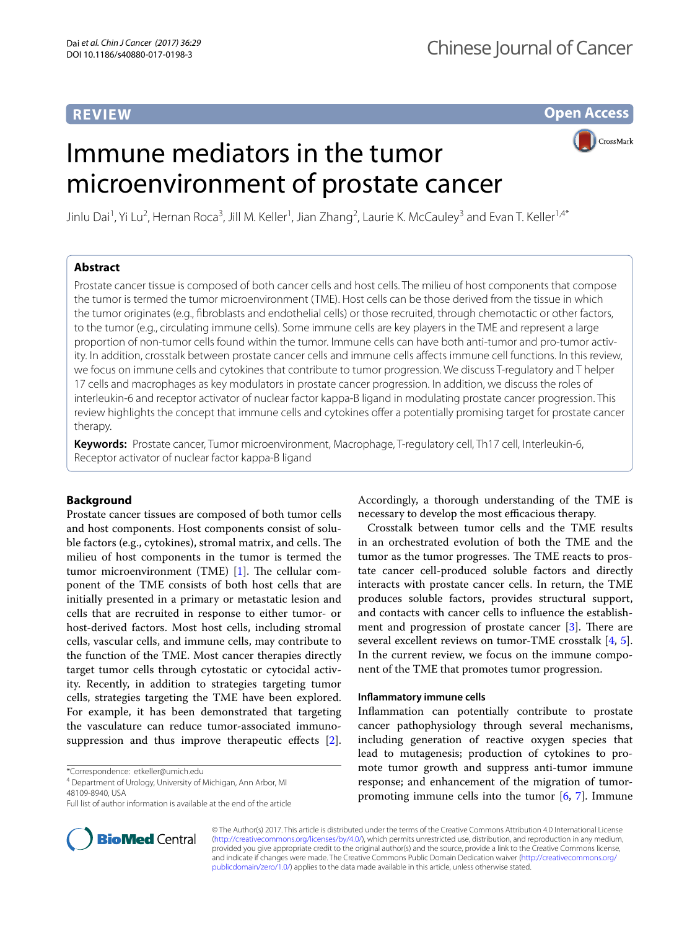# **REVIEW**

**Open Access**

# Immune mediators in the tumor microenvironment of prostate cancer



Jinlu Dai<sup>1</sup>, Yi Lu<sup>2</sup>, Hernan Roca<sup>3</sup>, Jill M. Keller<sup>1</sup>, Jian Zhang<sup>2</sup>, Laurie K. McCauley<sup>3</sup> and Evan T. Keller<sup>1,4\*</sup>

## **Abstract**

Prostate cancer tissue is composed of both cancer cells and host cells. The milieu of host components that compose the tumor is termed the tumor microenvironment (TME). Host cells can be those derived from the tissue in which the tumor originates (e.g., fibroblasts and endothelial cells) or those recruited, through chemotactic or other factors, to the tumor (e.g., circulating immune cells). Some immune cells are key players in the TME and represent a large proportion of non-tumor cells found within the tumor. Immune cells can have both anti-tumor and pro-tumor activity. In addition, crosstalk between prostate cancer cells and immune cells affects immune cell functions. In this review, we focus on immune cells and cytokines that contribute to tumor progression. We discuss T-regulatory and T helper 17 cells and macrophages as key modulators in prostate cancer progression. In addition, we discuss the roles of interleukin-6 and receptor activator of nuclear factor kappa-B ligand in modulating prostate cancer progression. This review highlights the concept that immune cells and cytokines offer a potentially promising target for prostate cancer therapy.

**Keywords:** Prostate cancer, Tumor microenvironment, Macrophage, T-regulatory cell, Th17 cell, Interleukin-6, Receptor activator of nuclear factor kappa-B ligand

## **Background**

Prostate cancer tissues are composed of both tumor cells and host components. Host components consist of soluble factors (e.g., cytokines), stromal matrix, and cells. The milieu of host components in the tumor is termed the tumor microenvironment (TME) [[1\]](#page-5-0). The cellular component of the TME consists of both host cells that are initially presented in a primary or metastatic lesion and cells that are recruited in response to either tumor- or host-derived factors. Most host cells, including stromal cells, vascular cells, and immune cells, may contribute to the function of the TME. Most cancer therapies directly target tumor cells through cytostatic or cytocidal activity. Recently, in addition to strategies targeting tumor cells, strategies targeting the TME have been explored. For example, it has been demonstrated that targeting the vasculature can reduce tumor-associated immunosuppression and thus improve therapeutic effects [\[2](#page-5-1)].

\*Correspondence: etkeller@umich.edu



Crosstalk between tumor cells and the TME results in an orchestrated evolution of both the TME and the tumor as the tumor progresses. The TME reacts to prostate cancer cell-produced soluble factors and directly interacts with prostate cancer cells. In return, the TME produces soluble factors, provides structural support, and contacts with cancer cells to influence the establishment and progression of prostate cancer [\[3](#page-5-2)]. There are several excellent reviews on tumor-TME crosstalk [\[4,](#page-5-3) [5](#page-5-4)]. In the current review, we focus on the immune component of the TME that promotes tumor progression.

### **Inflammatory immune cells**

Inflammation can potentially contribute to prostate cancer pathophysiology through several mechanisms, including generation of reactive oxygen species that lead to mutagenesis; production of cytokines to promote tumor growth and suppress anti-tumor immune response; and enhancement of the migration of tumorpromoting immune cells into the tumor  $[6, 7]$  $[6, 7]$  $[6, 7]$ . Immune



© The Author(s) 2017. This article is distributed under the terms of the Creative Commons Attribution 4.0 International License [\(http://creativecommons.org/licenses/by/4.0/\)](http://creativecommons.org/licenses/by/4.0/), which permits unrestricted use, distribution, and reproduction in any medium, provided you give appropriate credit to the original author(s) and the source, provide a link to the Creative Commons license, and indicate if changes were made. The Creative Commons Public Domain Dedication waiver ([http://creativecommons.org/](http://creativecommons.org/publicdomain/zero/1.0/) [publicdomain/zero/1.0/](http://creativecommons.org/publicdomain/zero/1.0/)) applies to the data made available in this article, unless otherwise stated.

<sup>4</sup> Department of Urology, University of Michigan, Ann Arbor, MI 48109-8940, USA

Full list of author information is available at the end of the article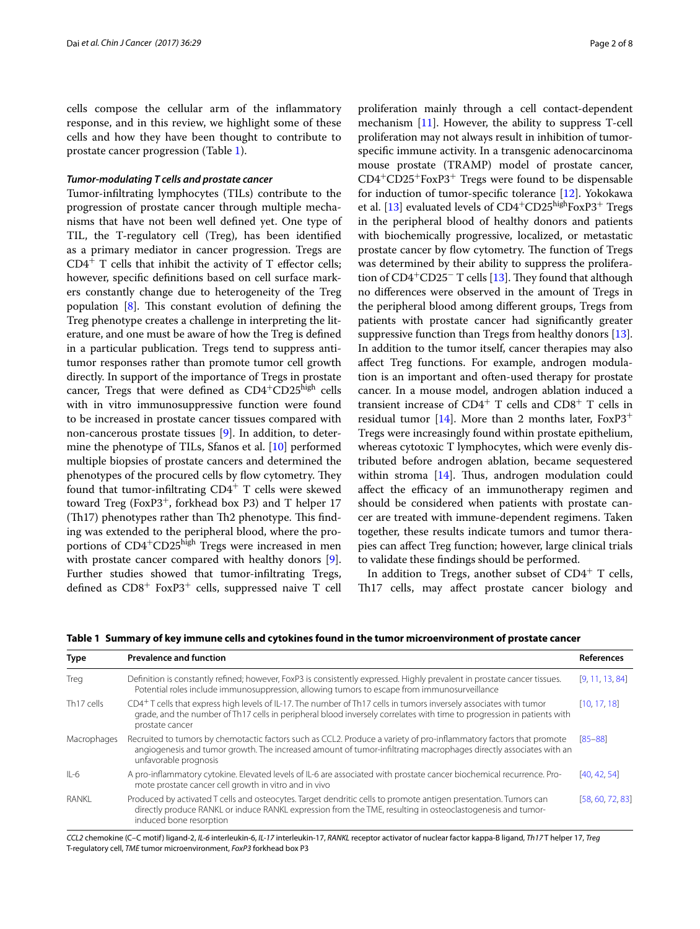cells compose the cellular arm of the inflammatory response, and in this review, we highlight some of these cells and how they have been thought to contribute to prostate cancer progression (Table [1\)](#page-1-0).

#### *Tumor‑modulating T cells and prostate cancer*

Tumor-infiltrating lymphocytes (TILs) contribute to the progression of prostate cancer through multiple mechanisms that have not been well defined yet. One type of TIL, the T-regulatory cell (Treg), has been identified as a primary mediator in cancer progression. Tregs are  $CD4<sup>+</sup>$  T cells that inhibit the activity of T effector cells; however, specific definitions based on cell surface markers constantly change due to heterogeneity of the Treg population [[8](#page-5-7)]. This constant evolution of defining the Treg phenotype creates a challenge in interpreting the literature, and one must be aware of how the Treg is defined in a particular publication. Tregs tend to suppress antitumor responses rather than promote tumor cell growth directly. In support of the importance of Tregs in prostate cancer, Tregs that were defined as  $CD4+CD25$ <sup>high</sup> cells with in vitro immunosuppressive function were found to be increased in prostate cancer tissues compared with non-cancerous prostate tissues [[9\]](#page-5-8). In addition, to determine the phenotype of TILs, Sfanos et al. [[10](#page-5-9)] performed multiple biopsies of prostate cancers and determined the phenotypes of the procured cells by flow cytometry. They found that tumor-infiltrating  $CD4^+$  T cells were skewed toward Treg (Fox $P3^+$ , forkhead box P3) and T helper 17 (Th17) phenotypes rather than Th2 phenotype. This finding was extended to the peripheral blood, where the proportions of CD4<sup>+</sup>CD25<sup>high</sup> Tregs were increased in men with prostate cancer compared with healthy donors [\[9](#page-5-8)]. Further studies showed that tumor-infiltrating Tregs, defined as CD8+ FoxP3+ cells, suppressed naive T cell proliferation mainly through a cell contact-dependent mechanism [\[11](#page-5-10)]. However, the ability to suppress T-cell proliferation may not always result in inhibition of tumorspecific immune activity. In a transgenic adenocarcinoma mouse prostate (TRAMP) model of prostate cancer, CD4<sup>+</sup>CD25<sup>+</sup>FoxP3<sup>+</sup> Tregs were found to be dispensable for induction of tumor-specific tolerance [\[12](#page-5-11)]. Yokokawa et al. [\[13\]](#page-5-12) evaluated levels of CD4<sup>+</sup>CD25<sup>high</sup>FoxP3<sup>+</sup> Tregs in the peripheral blood of healthy donors and patients with biochemically progressive, localized, or metastatic prostate cancer by flow cytometry. The function of Tregs was determined by their ability to suppress the proliferation of  $CD4^+CD25^-$  T cells [[13](#page-5-12)]. They found that although no differences were observed in the amount of Tregs in the peripheral blood among different groups, Tregs from patients with prostate cancer had significantly greater suppressive function than Tregs from healthy donors [\[13](#page-5-12)]. In addition to the tumor itself, cancer therapies may also affect Treg functions. For example, androgen modulation is an important and often-used therapy for prostate cancer. In a mouse model, androgen ablation induced a transient increase of  $CD4^+$  T cells and  $CD8^+$  T cells in residual tumor [\[14\]](#page-5-13). More than 2 months later,  $FoxP3$ <sup>+</sup> Tregs were increasingly found within prostate epithelium, whereas cytotoxic T lymphocytes, which were evenly distributed before androgen ablation, became sequestered within stroma [[14](#page-5-13)]. Thus, androgen modulation could affect the efficacy of an immunotherapy regimen and should be considered when patients with prostate cancer are treated with immune-dependent regimens. Taken together, these results indicate tumors and tumor therapies can affect Treg function; however, large clinical trials to validate these findings should be performed.

In addition to Tregs, another subset of  $CD4^+$  T cells, Th17 cells, may affect prostate cancer biology and

<span id="page-1-0"></span>**Table 1 Summary of key immune cells and cytokines found in the tumor microenvironment of prostate cancer**

| <b>Type</b>            | <b>Prevalence and function</b>                                                                                                                                                                                                                                              | <b>References</b> |
|------------------------|-----------------------------------------------------------------------------------------------------------------------------------------------------------------------------------------------------------------------------------------------------------------------------|-------------------|
| Treg                   | Definition is constantly refined; however, FoxP3 is consistently expressed. Highly prevalent in prostate cancer tissues.<br>Potential roles include immunosuppression, allowing tumors to escape from immunosurveillance                                                    | [9, 11, 13, 84]   |
| Th <sub>17</sub> cells | CD4 <sup>+</sup> T cells that express high levels of IL-17. The number of Th17 cells in tumors inversely associates with tumor<br>grade, and the number of Th17 cells in peripheral blood inversely correlates with time to progression in patients with<br>prostate cancer | [10, 17, 18]      |
| Macrophages            | Recruited to tumors by chemotactic factors such as CCL2. Produce a variety of pro-inflammatory factors that promote<br>angiogenesis and tumor growth. The increased amount of tumor-infiltrating macrophages directly associates with an<br>unfavorable prognosis           | $[85 - 88]$       |
| $II -6$                | A pro-inflammatory cytokine. Elevated levels of IL-6 are associated with prostate cancer biochemical recurrence. Pro-<br>mote prostate cancer cell growth in vitro and in vivo                                                                                              | [40, 42, 54]      |
| RANKI                  | Produced by activated T cells and osteocytes. Target dendritic cells to promote antigen presentation. Tumors can<br>directly produce RANKL or induce RANKL expression from the TME, resulting in osteoclastogenesis and tumor-<br>induced bone resorption                   | [58, 60, 72, 83]  |

*CCL2* chemokine (C–C motif) ligand-2, *IL-6* interleukin-6, *IL-17* interleukin-17, *RANKL* receptor activator of nuclear factor kappa-B ligand, *Th17* T helper 17, *Treg* T-regulatory cell, *TME* tumor microenvironment, *FoxP3* forkhead box P3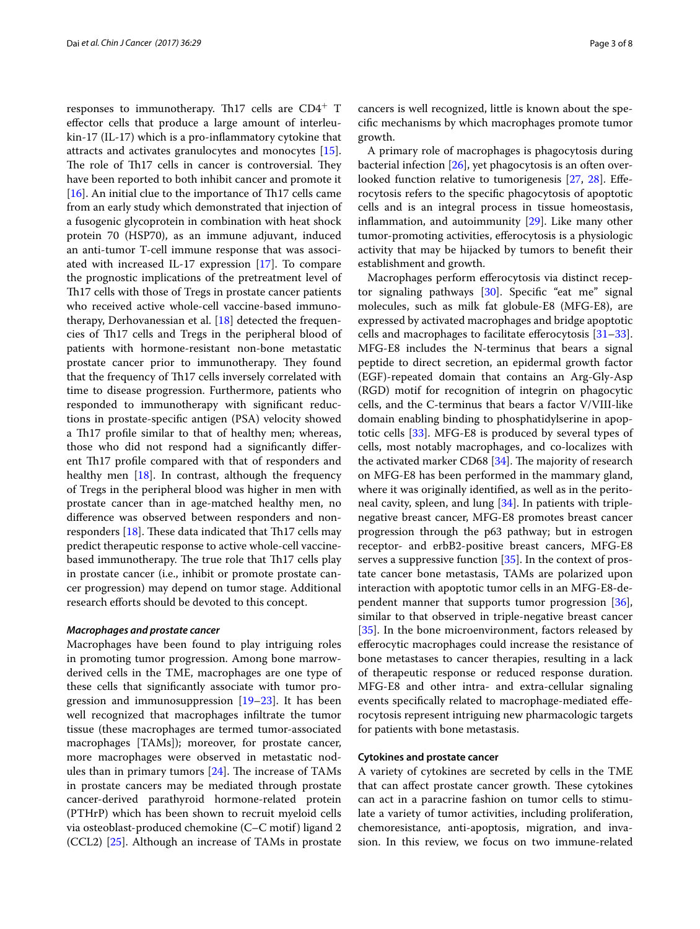responses to immunotherapy. Th17 cells are CD4<sup>+</sup> T effector cells that produce a large amount of interleukin-17 (IL-17) which is a pro-inflammatory cytokine that attracts and activates granulocytes and monocytes [\[15](#page-5-16)]. The role of Th17 cells in cancer is controversial. They have been reported to both inhibit cancer and promote it [[16\]](#page-5-17). An initial clue to the importance of Th17 cells came from an early study which demonstrated that injection of a fusogenic glycoprotein in combination with heat shock protein 70 (HSP70), as an immune adjuvant, induced an anti-tumor T-cell immune response that was associated with increased IL-17 expression [[17\]](#page-5-14). To compare the prognostic implications of the pretreatment level of Th17 cells with those of Tregs in prostate cancer patients who received active whole-cell vaccine-based immunotherapy, Derhovanessian et al. [[18\]](#page-5-15) detected the frequencies of Th17 cells and Tregs in the peripheral blood of patients with hormone-resistant non-bone metastatic prostate cancer prior to immunotherapy. They found that the frequency of Th17 cells inversely correlated with time to disease progression. Furthermore, patients who responded to immunotherapy with significant reductions in prostate-specific antigen (PSA) velocity showed a Th17 profile similar to that of healthy men; whereas, those who did not respond had a significantly different Th17 profile compared with that of responders and healthy men  $[18]$  $[18]$ . In contrast, although the frequency of Tregs in the peripheral blood was higher in men with prostate cancer than in age-matched healthy men, no difference was observed between responders and nonresponders  $[18]$  $[18]$  $[18]$ . These data indicated that Th17 cells may predict therapeutic response to active whole-cell vaccinebased immunotherapy. The true role that Th17 cells play in prostate cancer (i.e., inhibit or promote prostate cancer progression) may depend on tumor stage. Additional research efforts should be devoted to this concept.

#### *Macrophages and prostate cancer*

Macrophages have been found to play intriguing roles in promoting tumor progression. Among bone marrowderived cells in the TME, macrophages are one type of these cells that significantly associate with tumor progression and immunosuppression [\[19–](#page-5-18)[23\]](#page-5-19). It has been well recognized that macrophages infiltrate the tumor tissue (these macrophages are termed tumor-associated macrophages [TAMs]); moreover, for prostate cancer, more macrophages were observed in metastatic nodules than in primary tumors [\[24\]](#page-5-20). The increase of TAMs in prostate cancers may be mediated through prostate cancer-derived parathyroid hormone-related protein (PTHrP) which has been shown to recruit myeloid cells via osteoblast-produced chemokine (C–C motif) ligand 2 (CCL2) [[25\]](#page-5-21). Although an increase of TAMs in prostate cancers is well recognized, little is known about the specific mechanisms by which macrophages promote tumor growth.

A primary role of macrophages is phagocytosis during bacterial infection [[26](#page-5-22)], yet phagocytosis is an often overlooked function relative to tumorigenesis [[27,](#page-5-23) [28](#page-5-24)]. Efferocytosis refers to the specific phagocytosis of apoptotic cells and is an integral process in tissue homeostasis, inflammation, and autoimmunity [\[29\]](#page-5-25). Like many other tumor-promoting activities, efferocytosis is a physiologic activity that may be hijacked by tumors to benefit their establishment and growth.

Macrophages perform efferocytosis via distinct receptor signaling pathways [\[30](#page-5-26)]. Specific "eat me" signal molecules, such as milk fat globule-E8 (MFG-E8), are expressed by activated macrophages and bridge apoptotic cells and macrophages to facilitate efferocytosis [[31](#page-5-27)[–33](#page-5-28)]. MFG-E8 includes the N-terminus that bears a signal peptide to direct secretion, an epidermal growth factor (EGF)-repeated domain that contains an Arg-Gly-Asp (RGD) motif for recognition of integrin on phagocytic cells, and the C-terminus that bears a factor V/VIII-like domain enabling binding to phosphatidylserine in apoptotic cells [[33\]](#page-5-28). MFG-E8 is produced by several types of cells, most notably macrophages, and co-localizes with the activated marker CD68 [\[34\]](#page-5-29). The majority of research on MFG-E8 has been performed in the mammary gland, where it was originally identified, as well as in the peritoneal cavity, spleen, and lung [[34](#page-5-29)]. In patients with triplenegative breast cancer, MFG-E8 promotes breast cancer progression through the p63 pathway; but in estrogen receptor- and erbB2-positive breast cancers, MFG-E8 serves a suppressive function [\[35](#page-6-6)]. In the context of prostate cancer bone metastasis, TAMs are polarized upon interaction with apoptotic tumor cells in an MFG-E8-dependent manner that supports tumor progression [\[36](#page-6-7)], similar to that observed in triple-negative breast cancer [[35\]](#page-6-6). In the bone microenvironment, factors released by efferocytic macrophages could increase the resistance of bone metastases to cancer therapies, resulting in a lack of therapeutic response or reduced response duration. MFG-E8 and other intra- and extra-cellular signaling events specifically related to macrophage-mediated efferocytosis represent intriguing new pharmacologic targets for patients with bone metastasis.

## **Cytokines and prostate cancer**

A variety of cytokines are secreted by cells in the TME that can affect prostate cancer growth. These cytokines can act in a paracrine fashion on tumor cells to stimulate a variety of tumor activities, including proliferation, chemoresistance, anti-apoptosis, migration, and invasion. In this review, we focus on two immune-related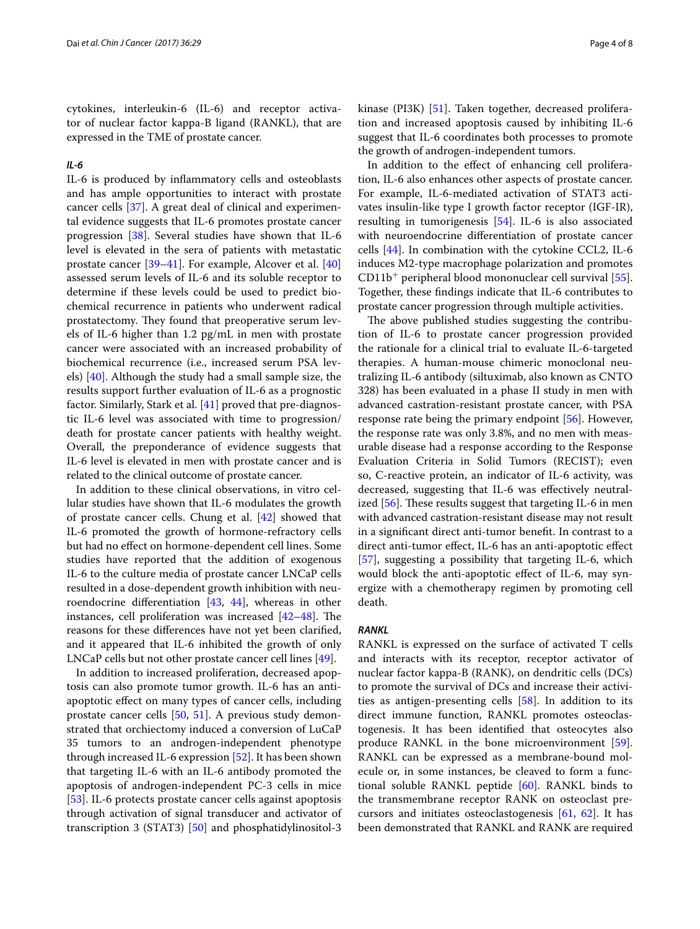cytokines, interleukin-6 (IL-6) and receptor activator of nuclear factor kappa-B ligand (RANKL), that are expressed in the TME of prostate cancer.

## *IL‑6*

IL-6 is produced by inflammatory cells and osteoblasts and has ample opportunities to interact with prostate cancer cells [[37](#page-6-8)]. A great deal of clinical and experimental evidence suggests that IL-6 promotes prostate cancer progression [\[38](#page-6-9)]. Several studies have shown that IL-6 level is elevated in the sera of patients with metastatic prostate cancer [\[39](#page-6-10)[–41\]](#page-6-11). For example, Alcover et al. [[40](#page-6-0)] assessed serum levels of IL-6 and its soluble receptor to determine if these levels could be used to predict biochemical recurrence in patients who underwent radical prostatectomy. They found that preoperative serum levels of IL-6 higher than 1.2 pg/mL in men with prostate cancer were associated with an increased probability of biochemical recurrence (i.e., increased serum PSA levels) [[40](#page-6-0)]. Although the study had a small sample size, the results support further evaluation of IL-6 as a prognostic factor. Similarly, Stark et al. [\[41](#page-6-11)] proved that pre-diagnostic IL-6 level was associated with time to progression/ death for prostate cancer patients with healthy weight. Overall, the preponderance of evidence suggests that IL-6 level is elevated in men with prostate cancer and is related to the clinical outcome of prostate cancer.

In addition to these clinical observations, in vitro cellular studies have shown that IL-6 modulates the growth of prostate cancer cells. Chung et al. [[42\]](#page-6-1) showed that IL-6 promoted the growth of hormone-refractory cells but had no effect on hormone-dependent cell lines. Some studies have reported that the addition of exogenous IL-6 to the culture media of prostate cancer LNCaP cells resulted in a dose-dependent growth inhibition with neuroendocrine differentiation [[43,](#page-6-12) [44](#page-6-13)], whereas in other instances, cell proliferation was increased [\[42–](#page-6-1)[48\]](#page-6-14). The reasons for these differences have not yet been clarified, and it appeared that IL-6 inhibited the growth of only LNCaP cells but not other prostate cancer cell lines [\[49\]](#page-6-15).

In addition to increased proliferation, decreased apoptosis can also promote tumor growth. IL-6 has an antiapoptotic effect on many types of cancer cells, including prostate cancer cells [[50,](#page-6-16) [51](#page-6-17)]. A previous study demonstrated that orchiectomy induced a conversion of LuCaP 35 tumors to an androgen-independent phenotype through increased IL-6 expression [[52](#page-6-18)]. It has been shown that targeting IL-6 with an IL-6 antibody promoted the apoptosis of androgen-independent PC-3 cells in mice [[53\]](#page-6-19). IL-6 protects prostate cancer cells against apoptosis through activation of signal transducer and activator of transcription 3 (STAT3) [\[50](#page-6-16)] and phosphatidylinositol-3 kinase (PI3K) [\[51](#page-6-17)]. Taken together, decreased proliferation and increased apoptosis caused by inhibiting IL-6 suggest that IL-6 coordinates both processes to promote the growth of androgen-independent tumors.

In addition to the effect of enhancing cell proliferation, IL-6 also enhances other aspects of prostate cancer. For example, IL-6-mediated activation of STAT3 activates insulin-like type I growth factor receptor (IGF-IR), resulting in tumorigenesis [\[54](#page-6-2)]. IL-6 is also associated with neuroendocrine differentiation of prostate cancer cells [[44\]](#page-6-13). In combination with the cytokine CCL2, IL-6 induces M2-type macrophage polarization and promotes  $CD11b<sup>+</sup>$  peripheral blood mononuclear cell survival [\[55](#page-6-20)]. Together, these findings indicate that IL-6 contributes to prostate cancer progression through multiple activities.

The above published studies suggesting the contribution of IL-6 to prostate cancer progression provided the rationale for a clinical trial to evaluate IL-6-targeted therapies. A human-mouse chimeric monoclonal neutralizing IL-6 antibody (siltuximab, also known as CNTO 328) has been evaluated in a phase II study in men with advanced castration-resistant prostate cancer, with PSA response rate being the primary endpoint [\[56\]](#page-6-21). However, the response rate was only 3.8%, and no men with measurable disease had a response according to the Response Evaluation Criteria in Solid Tumors (RECIST); even so, C-reactive protein, an indicator of IL-6 activity, was decreased, suggesting that IL-6 was effectively neutralized [\[56](#page-6-21)]. These results suggest that targeting IL-6 in men with advanced castration-resistant disease may not result in a significant direct anti-tumor benefit. In contrast to a direct anti-tumor effect, IL-6 has an anti-apoptotic effect [[57\]](#page-6-22), suggesting a possibility that targeting IL-6, which would block the anti-apoptotic effect of IL-6, may synergize with a chemotherapy regimen by promoting cell death.

#### *RANKL*

RANKL is expressed on the surface of activated T cells and interacts with its receptor, receptor activator of nuclear factor kappa-B (RANK), on dendritic cells (DCs) to promote the survival of DCs and increase their activities as antigen-presenting cells [[58\]](#page-6-3). In addition to its direct immune function, RANKL promotes osteoclastogenesis. It has been identified that osteocytes also produce RANKL in the bone microenvironment [\[59](#page-6-23)]. RANKL can be expressed as a membrane-bound molecule or, in some instances, be cleaved to form a functional soluble RANKL peptide [\[60](#page-6-4)]. RANKL binds to the transmembrane receptor RANK on osteoclast precursors and initiates osteoclastogenesis [\[61](#page-6-24), [62](#page-6-25)]. It has been demonstrated that RANKL and RANK are required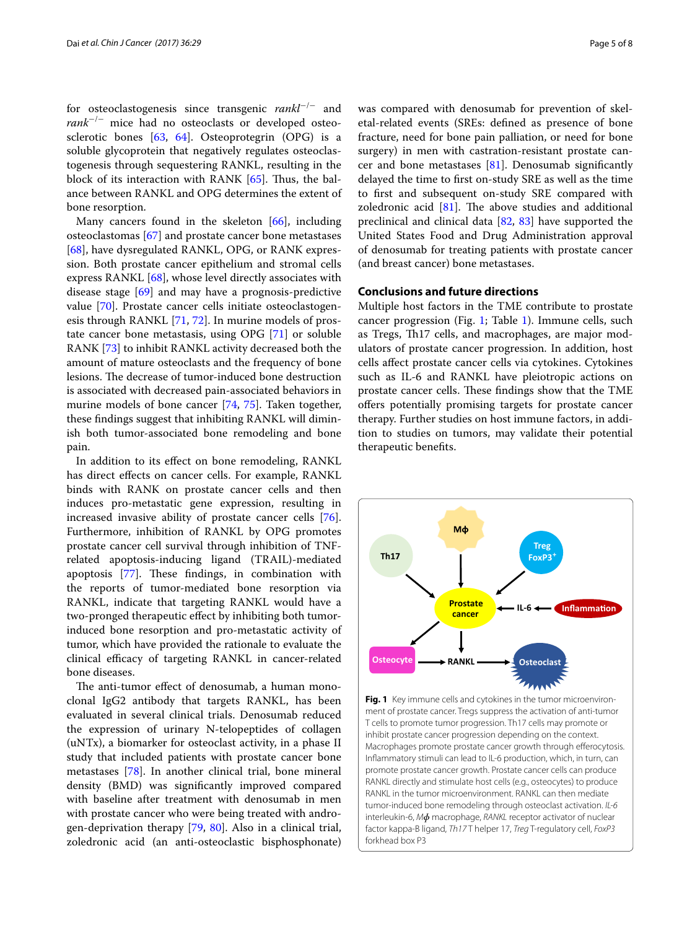for osteoclastogenesis since transgenic *rankl*<sup>−</sup>/<sup>−</sup> and *rank*−/− mice had no osteoclasts or developed osteosclerotic bones [[63,](#page-6-26) [64](#page-6-27)]. Osteoprotegrin (OPG) is a soluble glycoprotein that negatively regulates osteoclastogenesis through sequestering RANKL, resulting in the block of its interaction with RANK [[65\]](#page-6-28). Thus, the balance between RANKL and OPG determines the extent of bone resorption.

Many cancers found in the skeleton  $[66]$  $[66]$ , including osteoclastomas [[67\]](#page-6-30) and prostate cancer bone metastases [[68\]](#page-6-31), have dysregulated RANKL, OPG, or RANK expression. Both prostate cancer epithelium and stromal cells express RANKL [\[68](#page-6-31)], whose level directly associates with disease stage [[69\]](#page-6-32) and may have a prognosis-predictive value [\[70\]](#page-6-33). Prostate cancer cells initiate osteoclastogenesis through RANKL [\[71,](#page-6-34) [72\]](#page-6-5). In murine models of prostate cancer bone metastasis, using OPG [\[71](#page-6-34)] or soluble RANK [[73\]](#page-6-35) to inhibit RANKL activity decreased both the amount of mature osteoclasts and the frequency of bone lesions. The decrease of tumor-induced bone destruction is associated with decreased pain-associated behaviors in murine models of bone cancer [\[74,](#page-6-36) [75](#page-6-37)]. Taken together, these findings suggest that inhibiting RANKL will diminish both tumor-associated bone remodeling and bone pain.

In addition to its effect on bone remodeling, RANKL has direct effects on cancer cells. For example, RANKL binds with RANK on prostate cancer cells and then induces pro-metastatic gene expression, resulting in increased invasive ability of prostate cancer cells [\[76](#page-7-4)]. Furthermore, inhibition of RANKL by OPG promotes prostate cancer cell survival through inhibition of TNFrelated apoptosis-inducing ligand (TRAIL)-mediated apoptosis [\[77](#page-7-5)]. These findings, in combination with the reports of tumor-mediated bone resorption via RANKL, indicate that targeting RANKL would have a two-pronged therapeutic effect by inhibiting both tumorinduced bone resorption and pro-metastatic activity of tumor, which have provided the rationale to evaluate the clinical efficacy of targeting RANKL in cancer-related bone diseases.

The anti-tumor effect of denosumab, a human monoclonal IgG2 antibody that targets RANKL, has been evaluated in several clinical trials. Denosumab reduced the expression of urinary N-telopeptides of collagen (uNTx), a biomarker for osteoclast activity, in a phase II study that included patients with prostate cancer bone metastases [[78\]](#page-7-6). In another clinical trial, bone mineral density (BMD) was significantly improved compared with baseline after treatment with denosumab in men with prostate cancer who were being treated with androgen-deprivation therapy [\[79,](#page-7-7) [80](#page-7-8)]. Also in a clinical trial, zoledronic acid (an anti-osteoclastic bisphosphonate)

was compared with denosumab for prevention of skeletal-related events (SREs: defined as presence of bone fracture, need for bone pain palliation, or need for bone surgery) in men with castration-resistant prostate cancer and bone metastases  $[81]$  $[81]$  $[81]$ . Denosumab significantly delayed the time to first on-study SRE as well as the time to first and subsequent on-study SRE compared with zoledronic acid  $[81]$  $[81]$ . The above studies and additional preclinical and clinical data [\[82](#page-7-10), [83](#page-7-3)] have supported the United States Food and Drug Administration approval of denosumab for treating patients with prostate cancer (and breast cancer) bone metastases.

## **Conclusions and future directions**

Multiple host factors in the TME contribute to prostate cancer progression (Fig. [1;](#page-4-0) Table [1\)](#page-1-0). Immune cells, such as Tregs, Th17 cells, and macrophages, are major modulators of prostate cancer progression. In addition, host cells affect prostate cancer cells via cytokines. Cytokines such as IL-6 and RANKL have pleiotropic actions on prostate cancer cells. These findings show that the TME offers potentially promising targets for prostate cancer therapy. Further studies on host immune factors, in addition to studies on tumors, may validate their potential therapeutic benefits.



<span id="page-4-0"></span>**Fig. 1** Key immune cells and cytokines in the tumor microenvironment of prostate cancer. Tregs suppress the activation of anti-tumor T cells to promote tumor progression. Th17 cells may promote or inhibit prostate cancer progression depending on the context. Macrophages promote prostate cancer growth through efferocytosis. Inflammatory stimuli can lead to IL-6 production, which, in turn, can promote prostate cancer growth. Prostate cancer cells can produce RANKL directly and stimulate host cells (e.g., osteocytes) to produce RANKL in the tumor microenvironment. RANKL can then mediate tumor-induced bone remodeling through osteoclast activation. *IL-6* interleukin-6, *Mɸ* macrophage, *RANKL* receptor activator of nuclear factor kappa-B ligand, *Th17* T helper 17, *Treg* T-regulatory cell, *FoxP3* forkhead box P3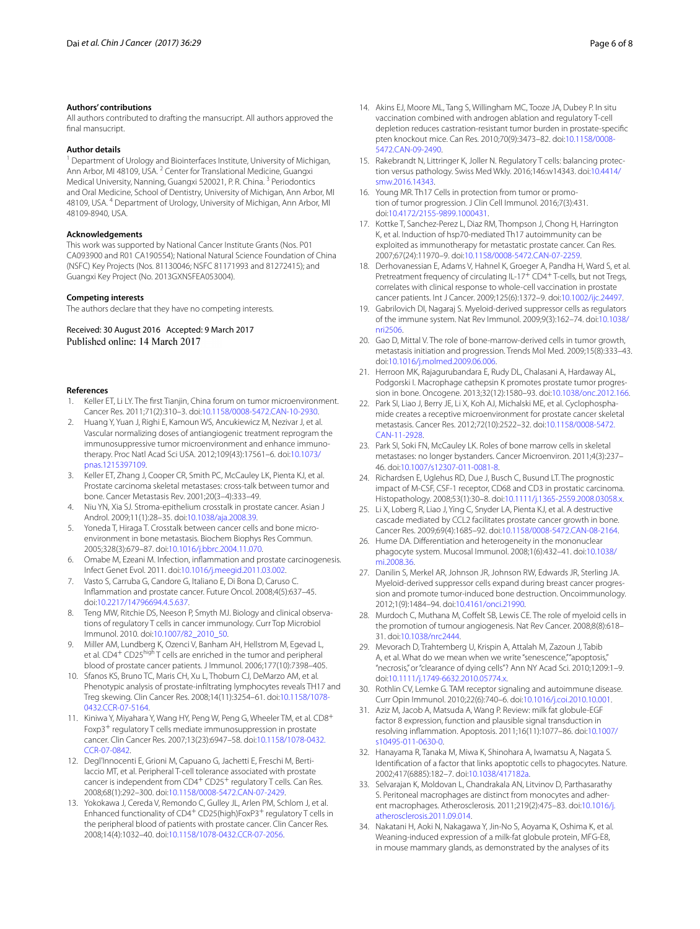#### **Authors' contributions**

All authors contributed to drafting the mansucript. All authors approved the final mansucript.

#### **Author details**

Department of Urology and Biointerfaces Institute, University of Michigan, Ann Arbor, MI 48109, USA.<sup>2</sup> Center for Translational Medicine, Guangxi Medical University, Nanning, Guangxi 520021, P. R. China. 3 Periodontics and Oral Medicine, School of Dentistry, University of Michigan, Ann Arbor, MI 48109, USA. 4 Department of Urology, University of Michigan, Ann Arbor, MI 48109-8940, USA.

#### **Acknowledgements**

This work was supported by National Cancer Institute Grants (Nos. P01 CA093900 and R01 CA190554); National Natural Science Foundation of China (NSFC) Key Projects (Nos. 81130046; NSFC 81171993 and 81272415); and Guangxi Key Project (No. 2013GXNSFEA053004).

#### **Competing interests**

The authors declare that they have no competing interests.

Received: 30 August 2016 Accepted: 9 March 2017 Published online: 14 March 2017

#### **References**

- <span id="page-5-0"></span>Keller ET, Li LY. The first Tianjin, China forum on tumor microenvironment. Cancer Res. 2011;71(2):310–3. doi:[10.1158/0008-5472.CAN-10-2930](http://dx.doi.org/10.1158/0008-5472.CAN-10-2930).
- <span id="page-5-1"></span>2. Huang Y, Yuan J, Righi E, Kamoun WS, Ancukiewicz M, Nezivar J, et al. Vascular normalizing doses of antiangiogenic treatment reprogram the immunosuppressive tumor microenvironment and enhance immunotherapy. Proc Natl Acad Sci USA. 2012;109(43):17561–6. doi[:10.1073/](http://dx.doi.org/10.1073/pnas.1215397109) [pnas.1215397109.](http://dx.doi.org/10.1073/pnas.1215397109)
- <span id="page-5-2"></span>3. Keller ET, Zhang J, Cooper CR, Smith PC, McCauley LK, Pienta KJ, et al. Prostate carcinoma skeletal metastases: cross-talk between tumor and bone. Cancer Metastasis Rev. 2001;20(3–4):333–49.
- <span id="page-5-3"></span>4. Niu YN, Xia SJ. Stroma-epithelium crosstalk in prostate cancer. Asian J Androl. 2009;11(1):28–35. doi[:10.1038/aja.2008.39](http://dx.doi.org/10.1038/aja.2008.39).
- <span id="page-5-4"></span>5. Yoneda T, Hiraga T. Crosstalk between cancer cells and bone microenvironment in bone metastasis. Biochem Biophys Res Commun. 2005;328(3):679–87. doi[:10.1016/j.bbrc.2004.11.070.](http://dx.doi.org/10.1016/j.bbrc.2004.11.070)
- <span id="page-5-5"></span>6. Omabe M, Ezeani M. Infection, inflammation and prostate carcinogenesis. Infect Genet Evol. 2011. doi[:10.1016/j.meegid.2011.03.002.](http://dx.doi.org/10.1016/j.meegid.2011.03.002)
- <span id="page-5-6"></span>7. Vasto S, Carruba G, Candore G, Italiano E, Di Bona D, Caruso C. Inflammation and prostate cancer. Future Oncol. 2008;4(5):637–45. doi:[10.2217/14796694.4.5.637](http://dx.doi.org/10.2217/14796694.4.5.637).
- <span id="page-5-7"></span>8. Teng MW, Ritchie DS, Neeson P, Smyth MJ. Biology and clinical observations of regulatory T cells in cancer immunology. Curr Top Microbiol Immunol. 2010. doi:[10.1007/82\\_2010\\_50](http://dx.doi.org/10.1007/82_2010_50).
- <span id="page-5-8"></span>9. Miller AM, Lundberg K, Ozenci V, Banham AH, Hellstrom M, Egevad L, et al. CD4<sup>+</sup> CD25<sup>high</sup> T cells are enriched in the tumor and peripheral blood of prostate cancer patients. J Immunol. 2006;177(10):7398–405.
- <span id="page-5-9"></span>10. Sfanos KS, Bruno TC, Maris CH, Xu L, Thoburn CJ, DeMarzo AM, et al. Phenotypic analysis of prostate-infiltrating lymphocytes reveals TH17 and Treg skewing. Clin Cancer Res. 2008;14(11):3254–61. doi[:10.1158/1078-](http://dx.doi.org/10.1158/1078-0432.CCR-07-5164) [0432.CCR-07-5164](http://dx.doi.org/10.1158/1078-0432.CCR-07-5164).
- <span id="page-5-10"></span>11. Kiniwa Y, Miyahara Y, Wang HY, Peng W, Peng G, Wheeler TM, et al. CD8<sup>+</sup> Foxp3+ regulatory T cells mediate immunosuppression in prostate cancer. Clin Cancer Res. 2007;13(23):6947–58. doi[:10.1158/1078-0432.](http://dx.doi.org/10.1158/1078-0432.CCR-07-0842) [CCR-07-0842](http://dx.doi.org/10.1158/1078-0432.CCR-07-0842).
- <span id="page-5-11"></span>12. Degl'Innocenti E, Grioni M, Capuano G, Jachetti E, Freschi M, Bertilaccio MT, et al. Peripheral T-cell tolerance associated with prostate cancer is independent from CD4<sup>+</sup> CD25<sup>+</sup> regulatory T cells. Can Res. 2008;68(1):292–300. doi[:10.1158/0008-5472.CAN-07-2429](http://dx.doi.org/10.1158/0008-5472.CAN-07-2429).
- <span id="page-5-12"></span>13. Yokokawa J, Cereda V, Remondo C, Gulley JL, Arlen PM, Schlom J, et al. Enhanced functionality of CD4<sup>+</sup> CD25(high)FoxP3<sup>+</sup> regulatory T cells in the peripheral blood of patients with prostate cancer. Clin Cancer Res. 2008;14(4):1032–40. doi[:10.1158/1078-0432.CCR-07-2056.](http://dx.doi.org/10.1158/1078-0432.CCR-07-2056)
- <span id="page-5-13"></span>14. Akins EJ, Moore ML, Tang S, Willingham MC, Tooze JA, Dubey P. In situ vaccination combined with androgen ablation and regulatory T-cell depletion reduces castration-resistant tumor burden in prostate-specific pten knockout mice. Can Res. 2010;70(9):3473–82. doi[:10.1158/0008-](http://dx.doi.org/10.1158/0008-5472.CAN-09-2490) [5472.CAN-09-2490.](http://dx.doi.org/10.1158/0008-5472.CAN-09-2490)
- <span id="page-5-16"></span>15. Rakebrandt N, Littringer K, Joller N. Regulatory T cells: balancing protection versus pathology. Swiss Med Wkly. 2016;146:w14343. doi:[10.4414/](http://dx.doi.org/10.4414/smw.2016.14343) [smw.2016.14343](http://dx.doi.org/10.4414/smw.2016.14343).
- <span id="page-5-17"></span>16. Young MR. Th17 Cells in protection from tumor or promotion of tumor progression. J Clin Cell Immunol. 2016;7(3):431. doi:[10.4172/2155-9899.1000431](http://dx.doi.org/10.4172/2155-9899.1000431).
- <span id="page-5-14"></span>17. Kottke T, Sanchez-Perez L, Diaz RM, Thompson J, Chong H, Harrington K, et al. Induction of hsp70-mediated Th17 autoimmunity can be exploited as immunotherapy for metastatic prostate cancer. Can Res. 2007;67(24):11970–9. doi[:10.1158/0008-5472.CAN-07-2259.](http://dx.doi.org/10.1158/0008-5472.CAN-07-2259)
- <span id="page-5-15"></span>18. Derhovanessian E, Adams V, Hahnel K, Groeger A, Pandha H, Ward S, et al. Pretreatment frequency of circulating IL-17<sup>+</sup> CD4<sup>+</sup> T-cells, but not Tregs, correlates with clinical response to whole-cell vaccination in prostate cancer patients. Int J Cancer. 2009;125(6):1372–9. doi:[10.1002/ijc.24497.](http://dx.doi.org/10.1002/ijc.24497)
- <span id="page-5-18"></span>19. Gabrilovich DI, Nagaraj S. Myeloid-derived suppressor cells as regulators of the immune system. Nat Rev Immunol. 2009;9(3):162–74. doi:[10.1038/](http://dx.doi.org/10.1038/nri2506) [nri2506](http://dx.doi.org/10.1038/nri2506).
- 20. Gao D, Mittal V. The role of bone-marrow-derived cells in tumor growth, metastasis initiation and progression. Trends Mol Med. 2009;15(8):333–43. doi:[10.1016/j.molmed.2009.06.006.](http://dx.doi.org/10.1016/j.molmed.2009.06.006)
- 21. Herroon MK, Rajagurubandara E, Rudy DL, Chalasani A, Hardaway AL, Podgorski I. Macrophage cathepsin K promotes prostate tumor progression in bone. Oncogene. 2013;32(12):1580–93. doi:[10.1038/onc.2012.166](http://dx.doi.org/10.1038/onc.2012.166).
- 22. Park SI, Liao J, Berry JE, Li X, Koh AJ, Michalski ME, et al. Cyclophosphamide creates a receptive microenvironment for prostate cancer skeletal metastasis. Cancer Res. 2012;72(10):2522–32. doi:[10.1158/0008-5472.](http://dx.doi.org/10.1158/0008-5472.CAN-11-2928) [CAN-11-2928.](http://dx.doi.org/10.1158/0008-5472.CAN-11-2928)
- <span id="page-5-19"></span>23. Park SI, Soki FN, McCauley LK. Roles of bone marrow cells in skeletal metastases: no longer bystanders. Cancer Microenviron. 2011;4(3):237– 46. doi:[10.1007/s12307-011-0081-8.](http://dx.doi.org/10.1007/s12307-011-0081-8)
- <span id="page-5-20"></span>24. Richardsen E, Uglehus RD, Due J, Busch C, Busund LT. The prognostic impact of M-CSF, CSF-1 receptor, CD68 and CD3 in prostatic carcinoma. Histopathology. 2008;53(1):30–8. doi:[10.1111/j.1365-2559.2008.03058.x.](http://dx.doi.org/10.1111/j.1365-2559.2008.03058.x)
- <span id="page-5-21"></span>25. Li X, Loberg R, Liao J, Ying C, Snyder LA, Pienta KJ, et al. A destructive cascade mediated by CCL2 facilitates prostate cancer growth in bone. Cancer Res. 2009;69(4):1685–92. doi[:10.1158/0008-5472.CAN-08-2164.](http://dx.doi.org/10.1158/0008-5472.CAN-08-2164)
- <span id="page-5-22"></span>26. Hume DA. Differentiation and heterogeneity in the mononuclear phagocyte system. Mucosal Immunol. 2008;1(6):432–41. doi[:10.1038/](http://dx.doi.org/10.1038/mi.2008.36) [mi.2008.36](http://dx.doi.org/10.1038/mi.2008.36).
- <span id="page-5-23"></span>27. Danilin S, Merkel AR, Johnson JR, Johnson RW, Edwards JR, Sterling JA. Myeloid-derived suppressor cells expand during breast cancer progression and promote tumor-induced bone destruction. Oncoimmunology. 2012;1(9):1484–94. doi:[10.4161/onci.21990](http://dx.doi.org/10.4161/onci.21990).
- <span id="page-5-24"></span>28. Murdoch C, Muthana M, Coffelt SB, Lewis CE. The role of myeloid cells in the promotion of tumour angiogenesis. Nat Rev Cancer. 2008;8(8):618– 31. doi:[10.1038/nrc2444.](http://dx.doi.org/10.1038/nrc2444)
- <span id="page-5-25"></span>29. Mevorach D, Trahtemberg U, Krispin A, Attalah M, Zazoun J, Tabib A, et al. What do we mean when we write "senescence," "apoptosis," "necrosis," or "clearance of dying cells"? Ann NY Acad Sci. 2010;1209:1–9. doi:[10.1111/j.1749-6632.2010.05774.x.](http://dx.doi.org/10.1111/j.1749-6632.2010.05774.x)
- <span id="page-5-26"></span>30. Rothlin CV, Lemke G. TAM receptor signaling and autoimmune disease. Curr Opin Immunol. 2010;22(6):740–6. doi[:10.1016/j.coi.2010.10.001.](http://dx.doi.org/10.1016/j.coi.2010.10.001)
- <span id="page-5-27"></span>31. Aziz M, Jacob A, Matsuda A, Wang P. Review: milk fat globule-EGF factor 8 expression, function and plausible signal transduction in resolving inflammation. Apoptosis. 2011;16(11):1077–86. doi[:10.1007/](http://dx.doi.org/10.1007/s10495-011-0630-0) [s10495-011-0630-0.](http://dx.doi.org/10.1007/s10495-011-0630-0)
- 32. Hanayama R, Tanaka M, Miwa K, Shinohara A, Iwamatsu A, Nagata S. Identification of a factor that links apoptotic cells to phagocytes. Nature. 2002;417(6885):182–7. doi:[10.1038/417182a](http://dx.doi.org/10.1038/417182a).
- <span id="page-5-28"></span>33. Selvarajan K, Moldovan L, Chandrakala AN, Litvinov D, Parthasarathy S. Peritoneal macrophages are distinct from monocytes and adherent macrophages. Atherosclerosis. 2011;219(2):475–83. doi[:10.1016/j.](http://dx.doi.org/10.1016/j.atherosclerosis.2011.09.014) [atherosclerosis.2011.09.014.](http://dx.doi.org/10.1016/j.atherosclerosis.2011.09.014)
- <span id="page-5-29"></span>34. Nakatani H, Aoki N, Nakagawa Y, Jin-No S, Aoyama K, Oshima K, et al. Weaning-induced expression of a milk-fat globule protein, MFG-E8, in mouse mammary glands, as demonstrated by the analyses of its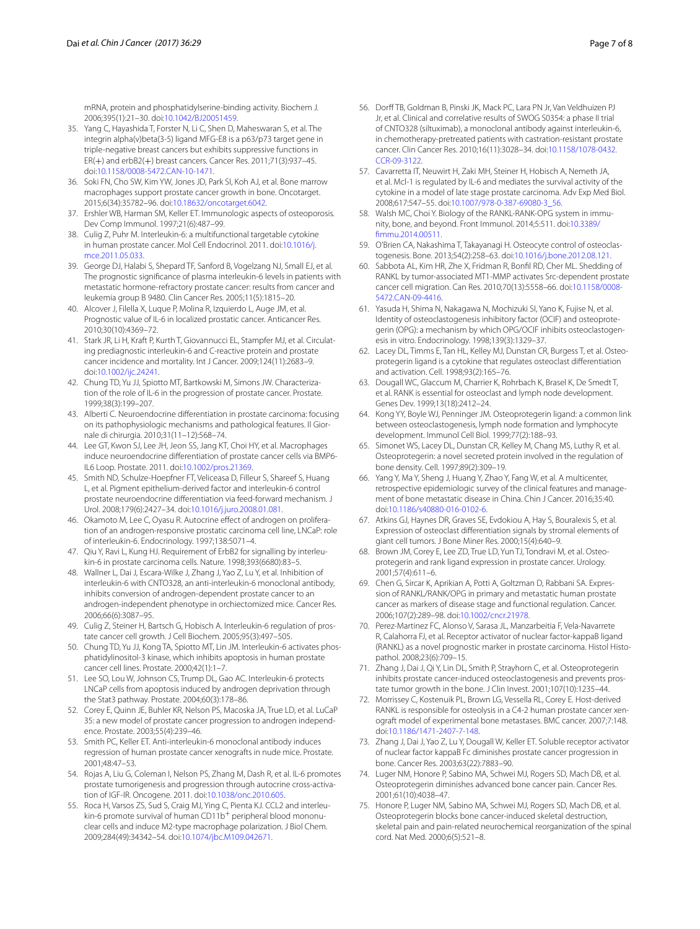mRNA, protein and phosphatidylserine-binding activity. Biochem J. 2006;395(1):21–30. doi:[10.1042/BJ20051459](http://dx.doi.org/10.1042/BJ20051459).

- <span id="page-6-6"></span>35. Yang C, Hayashida T, Forster N, Li C, Shen D, Maheswaran S, et al. The integrin alpha(v)beta(3-5) ligand MFG-E8 is a p63/p73 target gene in triple-negative breast cancers but exhibits suppressive functions in ER(+) and erbB2(+) breast cancers. Cancer Res. 2011;71(3):937–45. doi:[10.1158/0008-5472.CAN-10-1471](http://dx.doi.org/10.1158/0008-5472.CAN-10-1471).
- <span id="page-6-7"></span>36. Soki FN, Cho SW, Kim YW, Jones JD, Park SI, Koh AJ, et al. Bone marrow macrophages support prostate cancer growth in bone. Oncotarget. 2015;6(34):35782–96. doi[:10.18632/oncotarget.6042.](http://dx.doi.org/10.18632/oncotarget.6042)
- <span id="page-6-8"></span>37. Ershler WB, Harman SM, Keller ET. Immunologic aspects of osteoporosis. Dev Comp Immunol. 1997;21(6):487–99.
- <span id="page-6-9"></span>38. Culig Z, Puhr M. Interleukin-6: a multifunctional targetable cytokine in human prostate cancer. Mol Cell Endocrinol. 2011. doi:[10.1016/j.](http://dx.doi.org/10.1016/j.mce.2011.05.033) [mce.2011.05.033.](http://dx.doi.org/10.1016/j.mce.2011.05.033)
- <span id="page-6-10"></span>39. George DJ, Halabi S, Shepard TF, Sanford B, Vogelzang NJ, Small EJ, et al. The prognostic significance of plasma interleukin-6 levels in patients with metastatic hormone-refractory prostate cancer: results from cancer and leukemia group B 9480. Clin Cancer Res. 2005;11(5):1815–20.
- <span id="page-6-0"></span>40. Alcover J, Filella X, Luque P, Molina R, Izquierdo L, Auge JM, et al. Prognostic value of IL-6 in localized prostatic cancer. Anticancer Res. 2010;30(10):4369–72.
- <span id="page-6-11"></span>41. Stark JR, Li H, Kraft P, Kurth T, Giovannucci EL, Stampfer MJ, et al. Circulating prediagnostic interleukin-6 and C-reactive protein and prostate cancer incidence and mortality. Int J Cancer. 2009;124(11):2683–9. doi:[10.1002/ijc.24241.](http://dx.doi.org/10.1002/ijc.24241)
- <span id="page-6-1"></span>42. Chung TD, Yu JJ, Spiotto MT, Bartkowski M, Simons JW. Characterization of the role of IL-6 in the progression of prostate cancer. Prostate. 1999;38(3):199–207.
- <span id="page-6-12"></span>43. Alberti C. Neuroendocrine differentiation in prostate carcinoma: focusing on its pathophysiologic mechanisms and pathological features. Il Giornale di chirurgia. 2010;31(11–12):568–74.
- <span id="page-6-13"></span>44. Lee GT, Kwon SJ, Lee JH, Jeon SS, Jang KT, Choi HY, et al. Macrophages induce neuroendocrine differentiation of prostate cancer cells via BMP6- IL6 Loop. Prostate. 2011. doi:[10.1002/pros.21369](http://dx.doi.org/10.1002/pros.21369).
- 45. Smith ND, Schulze-Hoepfner FT, Veliceasa D, Filleur S, Shareef S, Huang L, et al. Pigment epithelium-derived factor and interleukin-6 control prostate neuroendocrine differentiation via feed-forward mechanism. J Urol. 2008;179(6):2427–34. doi[:10.1016/j.juro.2008.01.081.](http://dx.doi.org/10.1016/j.juro.2008.01.081)
- 46. Okamoto M, Lee C, Oyasu R. Autocrine effect of androgen on proliferation of an androgen-responsive prostatic carcinoma cell line, LNCaP: role of interleukin-6. Endocrinology. 1997;138:5071–4.
- 47. Qiu Y, Ravi L, Kung HJ. Requirement of ErbB2 for signalling by interleukin-6 in prostate carcinoma cells. Nature. 1998;393(6680):83–5.
- <span id="page-6-14"></span>48. Wallner L, Dai J, Escara-Wilke J, Zhang J, Yao Z, Lu Y, et al. Inhibition of interleukin-6 with CNTO328, an anti-interleukin-6 monoclonal antibody, inhibits conversion of androgen-dependent prostate cancer to an androgen-independent phenotype in orchiectomized mice. Cancer Res. 2006;66(6):3087–95.
- <span id="page-6-15"></span>49. Culig Z, Steiner H, Bartsch G, Hobisch A. Interleukin-6 regulation of prostate cancer cell growth. J Cell Biochem. 2005;95(3):497–505.
- <span id="page-6-16"></span>50. Chung TD, Yu JJ, Kong TA, Spiotto MT, Lin JM. Interleukin-6 activates phosphatidylinositol-3 kinase, which inhibits apoptosis in human prostate cancer cell lines. Prostate. 2000;42(1):1–7.
- <span id="page-6-17"></span>51. Lee SO, Lou W, Johnson CS, Trump DL, Gao AC. Interleukin-6 protects LNCaP cells from apoptosis induced by androgen deprivation through the Stat3 pathway. Prostate. 2004;60(3):178–86.
- <span id="page-6-18"></span>52. Corey E, Quinn JE, Buhler KR, Nelson PS, Macoska JA, True LD, et al. LuCaP 35: a new model of prostate cancer progression to androgen independence. Prostate. 2003;55(4):239–46.
- <span id="page-6-19"></span>53. Smith PC, Keller ET. Anti-interleukin-6 monoclonal antibody induces regression of human prostate cancer xenografts in nude mice. Prostate. 2001;48:47–53.
- <span id="page-6-2"></span>54. Rojas A, Liu G, Coleman I, Nelson PS, Zhang M, Dash R, et al. IL-6 promotes prostate tumorigenesis and progression through autocrine cross-activation of IGF-IR. Oncogene. 2011. doi[:10.1038/onc.2010.605.](http://dx.doi.org/10.1038/onc.2010.605)
- <span id="page-6-20"></span>55. Roca H, Varsos ZS, Sud S, Craig MJ, Ying C, Pienta KJ. CCL2 and interleukin-6 promote survival of human CD11b<sup>+</sup> peripheral blood mononuclear cells and induce M2-type macrophage polarization. J Biol Chem. 2009;284(49):34342–54. doi[:10.1074/jbc.M109.042671.](http://dx.doi.org/10.1074/jbc.M109.042671)
- <span id="page-6-21"></span>56. Dorff TB, Goldman B, Pinski JK, Mack PC, Lara PN Jr, Van Veldhuizen PJ Jr, et al. Clinical and correlative results of SWOG S0354: a phase II trial of CNTO328 (siltuximab), a monoclonal antibody against interleukin-6, in chemotherapy-pretreated patients with castration-resistant prostate cancer. Clin Cancer Res. 2010;16(11):3028–34. doi[:10.1158/1078-0432.](http://dx.doi.org/10.1158/1078-0432.CCR-09-3122) [CCR-09-3122](http://dx.doi.org/10.1158/1078-0432.CCR-09-3122).
- <span id="page-6-22"></span>57. Cavarretta IT, Neuwirt H, Zaki MH, Steiner H, Hobisch A, Nemeth JA, et al. Mcl-1 is regulated by IL-6 and mediates the survival activity of the cytokine in a model of late stage prostate carcinoma. Adv Exp Med Biol. 2008;617:547–55. doi:[10.1007/978-0-387-69080-3\\_56](http://dx.doi.org/10.1007/978-0-387-69080-3_56).
- <span id="page-6-3"></span>58. Walsh MC, Choi Y. Biology of the RANKL-RANK-OPG system in immunity, bone, and beyond. Front Immunol. 2014;5:511. doi[:10.3389/](http://dx.doi.org/10.3389/fimmu.2014.00511) [fimmu.2014.00511](http://dx.doi.org/10.3389/fimmu.2014.00511).
- <span id="page-6-23"></span>59. O'Brien CA, Nakashima T, Takayanagi H. Osteocyte control of osteoclastogenesis. Bone. 2013;54(2):258–63. doi:[10.1016/j.bone.2012.08.121](http://dx.doi.org/10.1016/j.bone.2012.08.121).
- <span id="page-6-4"></span>60. Sabbota AL, Kim HR, Zhe X, Fridman R, Bonfil RD, Cher ML. Shedding of RANKL by tumor-associated MT1-MMP activates Src-dependent prostate cancer cell migration. Can Res. 2010;70(13):5558–66. doi[:10.1158/0008-](http://dx.doi.org/10.1158/0008-5472.CAN-09-4416) [5472.CAN-09-4416.](http://dx.doi.org/10.1158/0008-5472.CAN-09-4416)
- <span id="page-6-24"></span>61. Yasuda H, Shima N, Nakagawa N, Mochizuki SI, Yano K, Fujise N, et al. Identity of osteoclastogenesis inhibitory factor (OCIF) and osteoprotegerin (OPG): a mechanism by which OPG/OCIF inhibits osteoclastogenesis in vitro. Endocrinology. 1998;139(3):1329–37.
- <span id="page-6-25"></span>62. Lacey DL, Timms E, Tan HL, Kelley MJ, Dunstan CR, Burgess T, et al. Osteoprotegerin ligand is a cytokine that regulates osteoclast differentiation and activation. Cell. 1998;93(2):165–76.
- <span id="page-6-26"></span>63. Dougall WC, Glaccum M, Charrier K, Rohrbach K, Brasel K, De Smedt T, et al. RANK is essential for osteoclast and lymph node development. Genes Dev. 1999;13(18):2412–24.
- <span id="page-6-27"></span>64. Kong YY, Boyle WJ, Penninger JM. Osteoprotegerin ligand: a common link between osteoclastogenesis, lymph node formation and lymphocyte development. Immunol Cell Biol. 1999;77(2):188–93.
- <span id="page-6-28"></span>65. Simonet WS, Lacey DL, Dunstan CR, Kelley M, Chang MS, Luthy R, et al. Osteoprotegerin: a novel secreted protein involved in the regulation of bone density. Cell. 1997;89(2):309–19.
- <span id="page-6-29"></span>66. Yang Y, Ma Y, Sheng J, Huang Y, Zhao Y, Fang W, et al. A multicenter, retrospective epidemiologic survey of the clinical features and management of bone metastatic disease in China. Chin J Cancer. 2016;35:40. doi:[10.1186/s40880-016-0102-6.](http://dx.doi.org/10.1186/s40880-016-0102-6)
- <span id="page-6-30"></span>67. Atkins GJ, Haynes DR, Graves SE, Evdokiou A, Hay S, Bouralexis S, et al. Expression of osteoclast differentiation signals by stromal elements of giant cell tumors. J Bone Miner Res. 2000;15(4):640–9.
- <span id="page-6-31"></span>68. Brown JM, Corey E, Lee ZD, True LD, Yun TJ, Tondravi M, et al. Osteoprotegerin and rank ligand expression in prostate cancer. Urology. 2001;57(4):611–6.
- <span id="page-6-32"></span>69. Chen G, Sircar K, Aprikian A, Potti A, Goltzman D, Rabbani SA. Expression of RANKL/RANK/OPG in primary and metastatic human prostate cancer as markers of disease stage and functional regulation. Cancer. 2006;107(2):289–98. doi:[10.1002/cncr.21978.](http://dx.doi.org/10.1002/cncr.21978)
- <span id="page-6-33"></span>70. Perez-Martinez FC, Alonso V, Sarasa JL, Manzarbeitia F, Vela-Navarrete R, Calahorra FJ, et al. Receptor activator of nuclear factor-kappaB ligand (RANKL) as a novel prognostic marker in prostate carcinoma. Histol Histopathol. 2008;23(6):709–15.
- <span id="page-6-34"></span>71. Zhang J, Dai J, Qi Y, Lin DL, Smith P, Strayhorn C, et al. Osteoprotegerin inhibits prostate cancer-induced osteoclastogenesis and prevents prostate tumor growth in the bone. J Clin Invest. 2001;107(10):1235–44.
- <span id="page-6-5"></span>72. Morrissey C, Kostenuik PL, Brown LG, Vessella RL, Corey E. Host-derived RANKL is responsible for osteolysis in a C4-2 human prostate cancer xenograft model of experimental bone metastases. BMC cancer. 2007;7:148. doi:[10.1186/1471-2407-7-148](http://dx.doi.org/10.1186/1471-2407-7-148).
- <span id="page-6-35"></span>73. Zhang J, Dai J, Yao Z, Lu Y, Dougall W, Keller ET. Soluble receptor activator of nuclear factor kappaB Fc diminishes prostate cancer progression in bone. Cancer Res. 2003;63(22):7883–90.
- <span id="page-6-36"></span>74. Luger NM, Honore P, Sabino MA, Schwei MJ, Rogers SD, Mach DB, et al. Osteoprotegerin diminishes advanced bone cancer pain. Cancer Res. 2001;61(10):4038–47.
- <span id="page-6-37"></span>75. Honore P, Luger NM, Sabino MA, Schwei MJ, Rogers SD, Mach DB, et al. Osteoprotegerin blocks bone cancer-induced skeletal destruction, skeletal pain and pain-related neurochemical reorganization of the spinal cord. Nat Med. 2000;6(5):521–8.